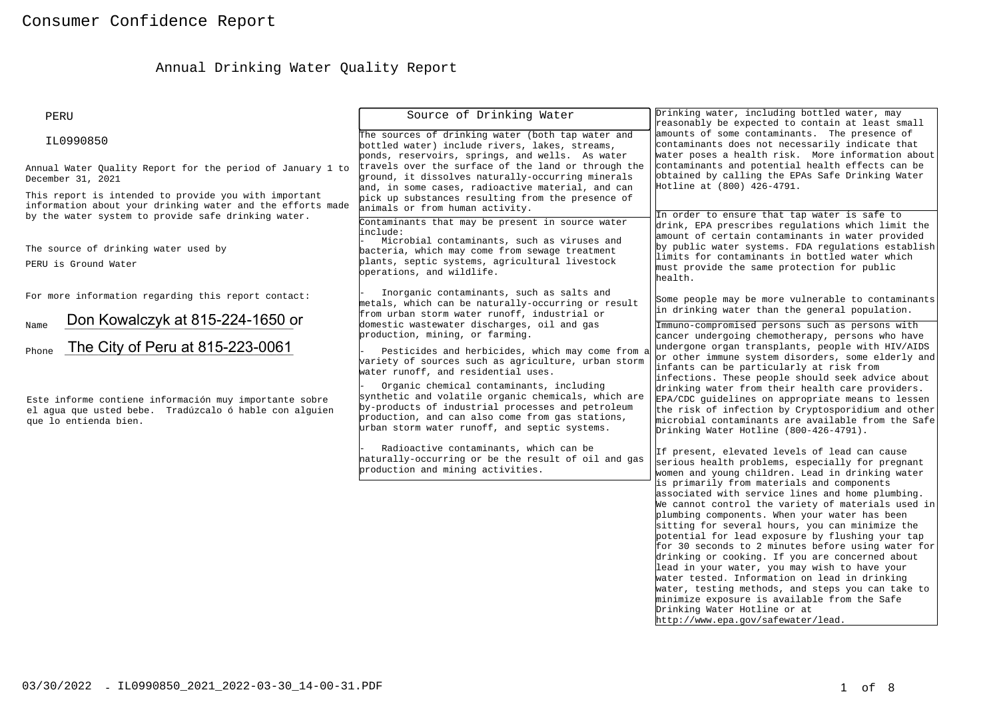# Annual Drinking Water Quality Report

| PERU                                                                                                                                                                       | Source of Drinking Water                                                                                                                                                                                                                                  | Drinking water, including bottled water, may<br>reasonably be expected to contain at least small                                                                                                                                                                                                                                                                                                                                                                                                                                                                                                                                                                                                                                                                                                                                                            |
|----------------------------------------------------------------------------------------------------------------------------------------------------------------------------|-----------------------------------------------------------------------------------------------------------------------------------------------------------------------------------------------------------------------------------------------------------|-------------------------------------------------------------------------------------------------------------------------------------------------------------------------------------------------------------------------------------------------------------------------------------------------------------------------------------------------------------------------------------------------------------------------------------------------------------------------------------------------------------------------------------------------------------------------------------------------------------------------------------------------------------------------------------------------------------------------------------------------------------------------------------------------------------------------------------------------------------|
| IL0990850                                                                                                                                                                  | The sources of drinking water (both tap water and<br>bottled water) include rivers, lakes, streams,<br>ponds, reservoirs, springs, and wells. As water                                                                                                    | amounts of some contaminants. The presence of<br>contaminants does not necessarily indicate that<br>water poses a health risk. More information about                                                                                                                                                                                                                                                                                                                                                                                                                                                                                                                                                                                                                                                                                                       |
| Annual Water Quality Report for the period of January 1 to<br>December 31, 2021                                                                                            | travels over the surface of the land or through the<br>ground, it dissolves naturally-occurring minerals<br>and, in some cases, radioactive material, and can                                                                                             | contaminants and potential health effects can be<br>obtained by calling the EPAs Safe Drinking Water<br>Hotline at (800) 426-4791.                                                                                                                                                                                                                                                                                                                                                                                                                                                                                                                                                                                                                                                                                                                          |
| This report is intended to provide you with important<br>information about your drinking water and the efforts made<br>by the water system to provide safe drinking water. | pick up substances resulting from the presence of<br>animals or from human activity.<br>Contaminants that may be present in source water                                                                                                                  | In order to ensure that tap water is safe to                                                                                                                                                                                                                                                                                                                                                                                                                                                                                                                                                                                                                                                                                                                                                                                                                |
| The source of drinking water used by<br>PERU is Ground Water                                                                                                               | include:<br>Microbial contaminants, such as viruses and<br>bacteria, which may come from sewage treatment<br>plants, septic systems, agricultural livestock<br>operations, and wildlife.                                                                  | drink, EPA prescribes regulations which limit the<br>amount of certain contaminants in water provided<br>by public water systems. FDA regulations establish<br>limits for contaminants in bottled water which<br>must provide the same protection for public<br>health.                                                                                                                                                                                                                                                                                                                                                                                                                                                                                                                                                                                     |
| For more information regarding this report contact:                                                                                                                        | Inorganic contaminants, such as salts and<br>metals, which can be naturally-occurring or result<br>from urban storm water runoff, industrial or                                                                                                           | Some people may be more vulnerable to contaminants<br>in drinking water than the general population.                                                                                                                                                                                                                                                                                                                                                                                                                                                                                                                                                                                                                                                                                                                                                        |
| Don Kowalczyk at 815-224-1650 or<br>Name<br>The City of Peru at 815-223-0061<br>Phone                                                                                      | domestic wastewater discharges, oil and gas<br>production, mining, or farming.<br>Pesticides and herbicides, which may come from a<br>variety of sources such as agriculture, urban storm<br>water runoff, and residential uses.                          | Immuno-compromised persons such as persons with<br>cancer undergoing chemotherapy, persons who have<br>undergone organ transplants, people with HIV/AIDS<br>or other immune system disorders, some elderly and<br>infants can be particularly at risk from                                                                                                                                                                                                                                                                                                                                                                                                                                                                                                                                                                                                  |
| Este informe contiene información muy importante sobre<br>el agua que usted bebe. Tradúzcalo ó hable con alguien<br>que lo entienda bien.                                  | Organic chemical contaminants, including<br>synthetic and volatile organic chemicals, which are<br>by-products of industrial processes and petroleum<br>production, and can also come from gas stations,<br>urban storm water runoff, and septic systems. | infections. These people should seek advice about<br>drinking water from their health care providers.<br>EPA/CDC guidelines on appropriate means to lessen<br>the risk of infection by Cryptosporidium and other<br>microbial contaminants are available from the Safe<br>Drinking Water Hotline (800-426-4791).                                                                                                                                                                                                                                                                                                                                                                                                                                                                                                                                            |
|                                                                                                                                                                            | Radioactive contaminants, which can be<br>haturally-occurring or be the result of oil and gas<br>production and mining activities.                                                                                                                        | If present, elevated levels of lead can cause<br>serious health problems, especially for pregnant<br>women and young children. Lead in drinking water<br>is primarily from materials and components<br>associated with service lines and home plumbing.<br>We cannot control the variety of materials used in<br>plumbing components. When your water has been<br>sitting for several hours, you can minimize the<br>potential for lead exposure by flushing your tap<br>for 30 seconds to 2 minutes before using water for<br>drinking or cooking. If you are concerned about<br>lead in your water, you may wish to have your<br>water tested. Information on lead in drinking<br>water, testing methods, and steps you can take to<br>minimize exposure is available from the Safe<br>Drinking Water Hotline or at<br>http://www.epa.qov/safewater/lead. |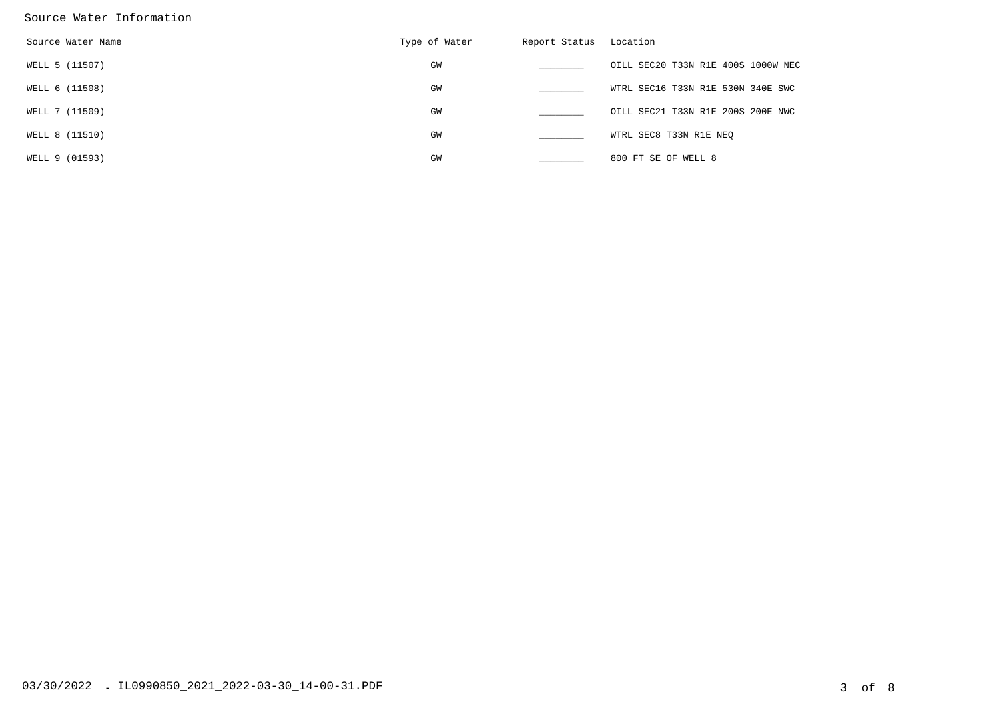#### Source Water Information

| Source Water Name | Type of Water | Report Status | Location                           |
|-------------------|---------------|---------------|------------------------------------|
| WELL 5 (11507)    | GW            |               | OILL SEC20 T33N R1E 400S 1000W NEC |
| WELL 6 (11508)    | GM            |               | WTRL SEC16 T33N R1E 530N 340E SWC  |
| WELL 7 (11509)    | GW            |               | OILL SEC21 T33N R1E 200S 200E NWC  |
| WELL 8 (11510)    | GM            |               | WTRL SEC8 T33N R1E NEO             |
| WELL 9 (01593)    | GW            |               | 800 FT SE OF WELL 8                |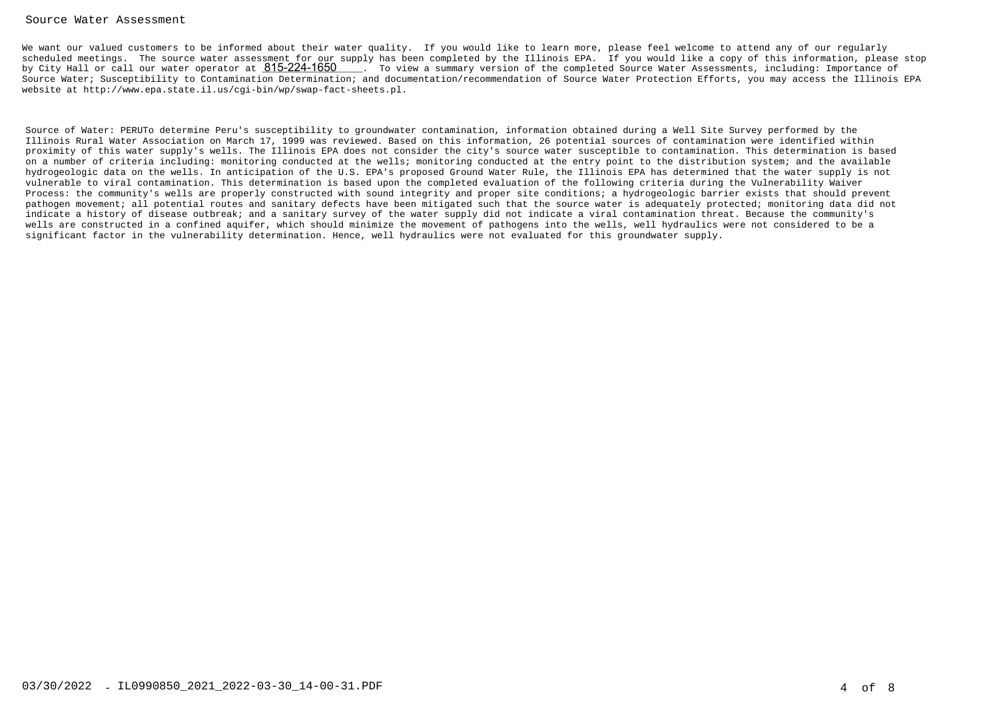#### Source Water Assessment

We want our valued customers to be informed about their water quality. If you would like to learn more, please feel welcome to attend any of our regularly scheduled meetings. The source water assessment for our supply has been completed by the Illinois EPA. If you would like a copy of this information, please stopby City Hall or call our water operator at  $815$ - $224$ - $1650$   $\;$  . To view a summary version of the completed Source Water Assessments, including: Importance of Source Water; Susceptibility to Contamination Determination; and documentation/recommendation of Source Water Protection Efforts, you may access the Illinois EPAwebsite at http://www.epa.state.il.us/cgi-bin/wp/swap-fact-sheets.pl.

Source of Water: PERUTo determine Peru's susceptibility to groundwater contamination, information obtained during a Well Site Survey performed by the Illinois Rural Water Association on March 17, 1999 was reviewed. Based on this information, 26 potential sources of contamination were identified within proximity of this water supply's wells. The Illinois EPA does not consider the city's source water susceptible to contamination. This determination is based on a number of criteria including: monitoring conducted at the wells; monitoring conducted at the entry point to the distribution system; and the available hydrogeologic data on the wells. In anticipation of the U.S. EPA's proposed Ground Water Rule, the Illinois EPA has determined that the water supply is notvulnerable to viral contamination. This determination is based upon the completed evaluation of the following criteria during the Vulnerability Waiver Process: the community's wells are properly constructed with sound integrity and proper site conditions; a hydrogeologic barrier exists that should prevent pathogen movement; all potential routes and sanitary defects have been mitigated such that the source water is adequately protected; monitoring data did notindicate a history of disease outbreak; and a sanitary survey of the water supply did not indicate a viral contamination threat. Because the community's wells are constructed in a confined aquifer, which should minimize the movement of pathogens into the wells, well hydraulics were not considered to be asignificant factor in the vulnerability determination. Hence, well hydraulics were not evaluated for this groundwater supply.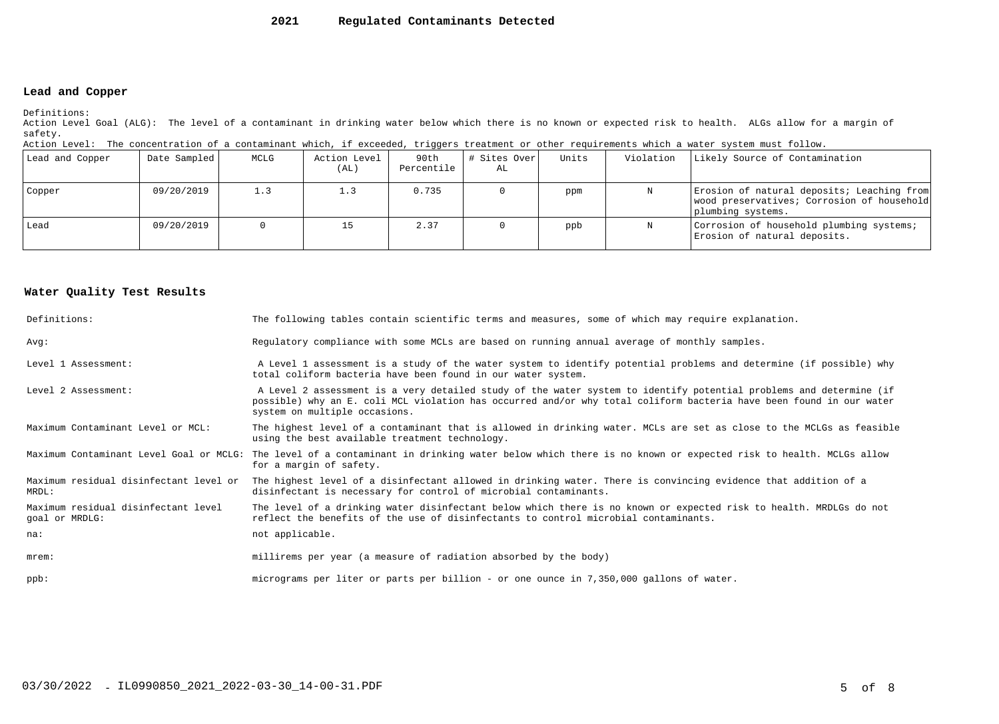#### **2021Regulated Contaminants Detected**

### **Lead and Copper**

Definitions:

 Action Level Goal (ALG): The level of a contaminant in drinking water below which there is no known or expected risk to health. ALGs allow for a margin ofsafety.

| Action Level: The concentration of a contaminant which, if exceeded, triggers treatment or other requirements which a water system must follow. |  |  |  |
|-------------------------------------------------------------------------------------------------------------------------------------------------|--|--|--|
|                                                                                                                                                 |  |  |  |

| Lead and Copper | Date Sampled | MCLG | Action Level<br>(AL) | 90th<br>Percentile | # Sites Over<br>AL | Units | Violation | Likely Source of Contamination                                                                                |
|-----------------|--------------|------|----------------------|--------------------|--------------------|-------|-----------|---------------------------------------------------------------------------------------------------------------|
| Copper          | 09/20/2019   | 1.3  |                      | 0.735              |                    | ppm   |           | Erosion of natural deposits; Leaching from<br>wood preservatives; Corrosion of household<br>plumbing systems. |
| Lead            | 09/20/2019   |      |                      | 2.37               |                    | ppb   |           | Corrosion of household plumbing systems;<br>Erosion of natural deposits.                                      |

#### **Water Quality Test Results**

| Definitions:                                          | The following tables contain scientific terms and measures, some of which may require explanation.                                                                                                                                                                         |
|-------------------------------------------------------|----------------------------------------------------------------------------------------------------------------------------------------------------------------------------------------------------------------------------------------------------------------------------|
| Avq:                                                  | Regulatory compliance with some MCLs are based on running annual average of monthly samples.                                                                                                                                                                               |
| Level 1 Assessment:                                   | A Level 1 assessment is a study of the water system to identify potential problems and determine (if possible) why<br>total coliform bacteria have been found in our water system.                                                                                         |
| Level 2 Assessment:                                   | A Level 2 assessment is a very detailed study of the water system to identify potential problems and determine (if<br>possible) why an E. coli MCL violation has occurred and/or why total coliform bacteria have been found in our water<br>system on multiple occasions. |
| Maximum Contaminant Level or MCL:                     | The highest level of a contaminant that is allowed in drinking water. MCLs are set as close to the MCLGs as feasible<br>using the best available treatment technology.                                                                                                     |
|                                                       | Maximum Contaminant Level Goal or MCLG: The level of a contaminant in drinking water below which there is no known or expected risk to health. MCLGs allow<br>for a margin of safety.                                                                                      |
| Maximum residual disinfectant level or<br>MRDL:       | The highest level of a disinfectant allowed in drinking water. There is convincing evidence that addition of a<br>disinfectant is necessary for control of microbial contaminants.                                                                                         |
| Maximum residual disinfectant level<br>goal or MRDLG: | The level of a drinking water disinfectant below which there is no known or expected risk to health. MRDLGs do not<br>reflect the benefits of the use of disinfectants to control microbial contaminants.                                                                  |
| na:                                                   | not applicable.                                                                                                                                                                                                                                                            |
| $m$ rem:                                              | millirems per year (a measure of radiation absorbed by the body)                                                                                                                                                                                                           |
| $ppb$ :                                               | micrograms per liter or parts per billion - or one ounce in 7,350,000 gallons of water.                                                                                                                                                                                    |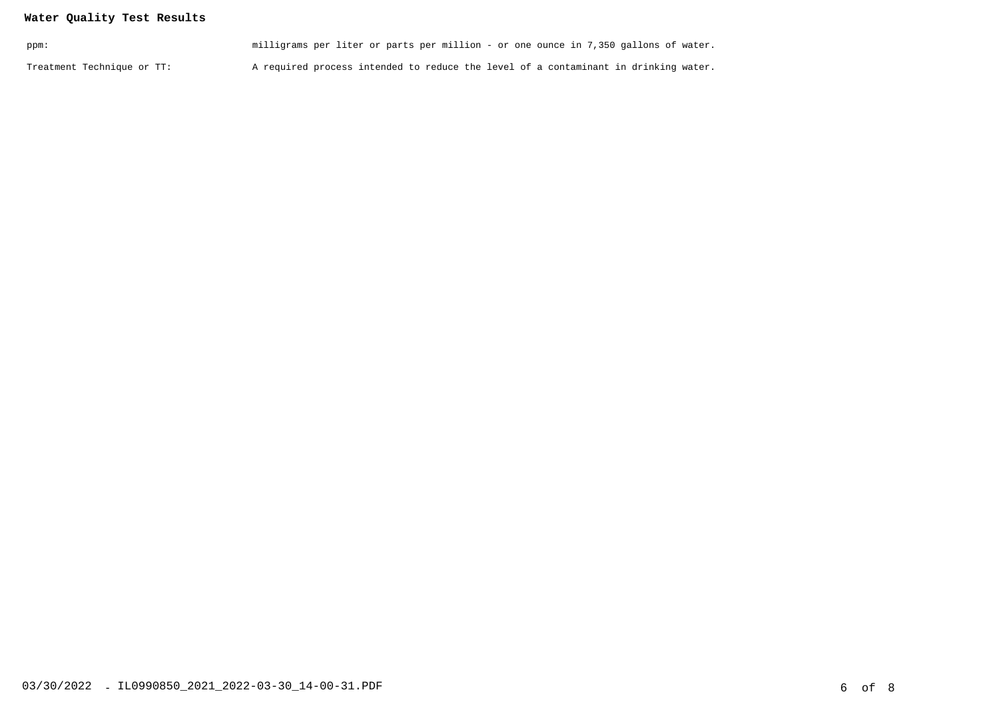## **Water Quality Test Results**

| ppm:                       | milligrams per liter or parts per million - or one ounce in 7,350 gallons of water. |  |
|----------------------------|-------------------------------------------------------------------------------------|--|
| Treatment Technique or TT: | A required process intended to reduce the level of a contaminant in drinking water. |  |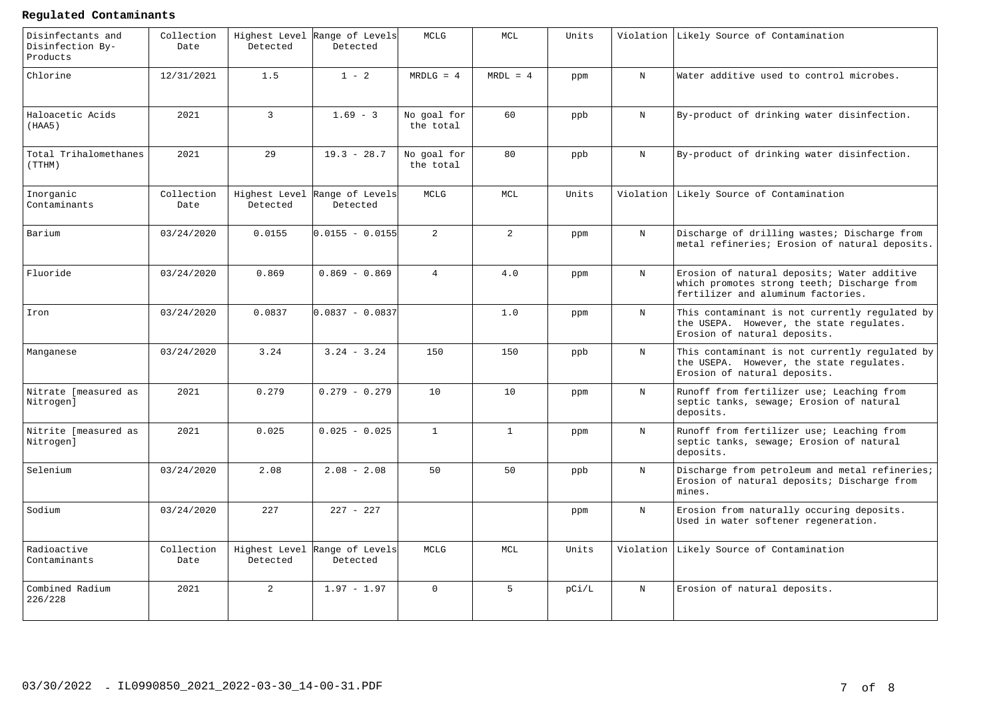#### **Regulated Contaminants**

| Disinfectants and<br>Disinfection By-<br>Products | Collection<br>Date | Highest Level<br>Detected | Range of Levels<br>Detected | <b>MCLG</b>              | MCL             | Units |             | Violation Likely Source of Contamination                                                                                         |
|---------------------------------------------------|--------------------|---------------------------|-----------------------------|--------------------------|-----------------|-------|-------------|----------------------------------------------------------------------------------------------------------------------------------|
| Chlorine                                          | 12/31/2021         | 1.5                       | $1 - 2$                     | $MRDLG = 4$              | $MRDL = 4$      | ppm   | N           | Water additive used to control microbes.                                                                                         |
| Haloacetic Acids<br>(HAA5)                        | 2021               | $\overline{3}$            | $1.69 - 3$                  | No goal for<br>the total | 60              | ppb   | N           | By-product of drinking water disinfection.                                                                                       |
| Total Trihalomethanes<br>(TTHM)                   | 2021               | 29                        | $19.3 - 28.7$               | No goal for<br>the total | 80              | ppb   | N           | By-product of drinking water disinfection.                                                                                       |
| Inorganic<br>Contaminants                         | Collection<br>Date | Highest Level<br>Detected | Range of Levels<br>Detected | MCLG                     | MCL             | Units | Violation   | Likely Source of Contamination                                                                                                   |
| Barium                                            | 03/24/2020         | 0.0155                    | $0.0155 - 0.0155$           | $\overline{2}$           | $\overline{a}$  | ppm   | N           | Discharge of drilling wastes; Discharge from<br>metal refineries; Erosion of natural deposits.                                   |
| Fluoride                                          | 03/24/2020         | 0.869                     | $0.869 - 0.869$             | $\overline{4}$           | 4.0             | ppm   | $_{\rm N}$  | Erosion of natural deposits; Water additive<br>which promotes strong teeth; Discharge from<br>fertilizer and aluminum factories. |
| Iron                                              | 03/24/2020         | 0.0837                    | $0.0837 - 0.0837$           |                          | 1.0             | ppm   | $_{\rm N}$  | This contaminant is not currently regulated by<br>the USEPA. However, the state regulates.<br>Erosion of natural deposits.       |
| Manganese                                         | 03/24/2020         | 3.24                      | $3.24 - 3.24$               | 150                      | 150             | ppb   | $_{\rm N}$  | This contaminant is not currently regulated by<br>the USEPA. However, the state regulates.<br>Erosion of natural deposits.       |
| Nitrate [measured as<br>Nitrogen]                 | 2021               | 0.279                     | $0.279 - 0.279$             | 10                       | 10 <sup>°</sup> | ppm   | $_{\rm N}$  | Runoff from fertilizer use; Leaching from<br>septic tanks, sewage; Erosion of natural<br>deposits.                               |
| Nitrite [measured as<br>Nitrogen]                 | 2021               | 0.025                     | $0.025 - 0.025$             | $\mathbf{1}$             | $\mathbf{1}$    | ppm   | $_{\rm N}$  | Runoff from fertilizer use; Leaching from<br>septic tanks, sewage; Erosion of natural<br>deposits.                               |
| Selenium                                          | 03/24/2020         | 2.08                      | $2.08 - 2.08$               | 50                       | 50              | ppb   | N           | Discharge from petroleum and metal refineries;<br>Erosion of natural deposits; Discharge from<br>mines.                          |
| Sodium                                            | 03/24/2020         | 227                       | $227 - 227$                 |                          |                 | ppm   | $\mathbf N$ | Erosion from naturally occuring deposits.<br>Used in water softener regeneration.                                                |
| Radioactive<br>Contaminants                       | Collection<br>Date | Highest Level<br>Detected | Range of Levels<br>Detected | MCLG                     | MCL             | Units | Violation   | Likely Source of Contamination                                                                                                   |
| Combined Radium<br>226/228                        | 2021               | 2                         | $1.97 - 1.97$               | $\Omega$                 | 5 <sup>1</sup>  | pC1/L | $_{\rm N}$  | Erosion of natural deposits.                                                                                                     |